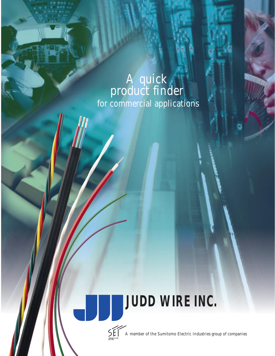## A quick product finder for commercial applications

## **JUDD WIRE INC.**



al I

A member of the Sumitomo Electric Industries group of companies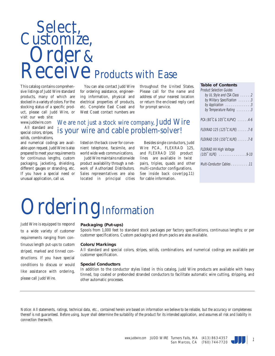## Select,<br>Customize, Order & **Receive** Products with Ease

This catalog contains comprehensive listings of Judd Wire standard products, many of which are stocked in a variety of colors. For the stocking status of a specific product, please call Judd Wire, or visit our web site:

www.juddwire.com All standard and

special colors, stripes, solids, combinations,

and numerical codings are available upon request. Judd Wire is also prepared to meet your requirements for continuous lengths, custom packaging, jacketing, shielding, different gauges or stranding, etc. If you have a special need or unusual application, call us.

You can also contact Judd Wire for ordering assistance, engineering information, physical and electrical properties of products, etc. Complete East Coast and West Coast contact numbers are

throughout the United States. Please call for the name and address of your nearest location or return the enclosed reply card for prompt service.

### We are not just a stock wire company, Judd Wire is your wire and cable problem-solver!

listed on the back cover for convenient telephone, facsimile, and world wide web communications.

Judd Wire maintains nationwide product availability through a network of Authorized Distributors. Sales representatives are also located in principal cities

Besides single conductors, Judd Wire PCA, FLEXRAD 125, and FLEXRAD 150 product lines are available in twist pairs, triples, quads and other multi-conductor configurations. See inside back cover(pg.11) for cable information.

#### **Table of Contents** Product Selection Guides

| by UL Style and CSA Class 2<br>by Military Specification 3<br>by Application 3<br>by Temperature Rating 3 |
|-----------------------------------------------------------------------------------------------------------|
| PCA (80°C & 105°C XLPVC) 4-6                                                                              |
| FLEXRAD 125 (125°C XLPE) 7-8                                                                              |
| FLEXRAD 150 (150°C XLPE) 7-8                                                                              |
| <b>FLEXRAD HV High Voltage</b><br>$(105 \cdot \text{XLPE})$ 9-10                                          |
| Multi-Conductor Cables 11                                                                                 |

# Ordering Information

Judd Wire is equipped to respond to a wide variety of customer requirements ranging from continuous length put-ups to custom striped, marked and tinned constructions. If you have special conditions to discuss or would like assistance with ordering, please call Judd Wire.

#### **Packaging (Put-ups)**

Spools from 1,000 feet to standard stock packages per factory specifications, continuous lengths; or per customer specifications. Custom packaging and drum packs are also available.

#### **Colors/Markings**

All standard and special colors, stripes, solids, combinations, and numerical codings are available per customer specification.

#### **Special Conductors**

In addition to the conductor styles listed in this catalog, Judd Wire products are available with heavy tinned, top coated or prebonded stranded conductors to facilitate automatic wire cutting, stripping, and other automatic processes.



*Notice: All statements, ratings, technical data, etc., contained herein are based on information we believe to be reliable, but the accuracy or completeness thereof is not guaranteed. Before using, buyer shall determine the suitability of the product for its intended application, and assumes all risk and liability in connection therewith.*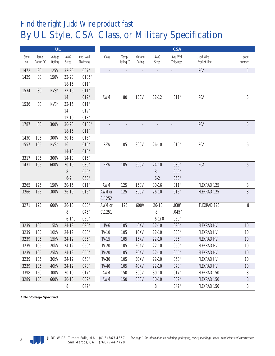### *Find the right Judd Wire product fast* By UL Style, CSA Class, or Military Specification

|              |                    | <b>UL</b>         |                |                        |                          |                          |                          |                          | <b>CSA</b>               |                           |                |
|--------------|--------------------|-------------------|----------------|------------------------|--------------------------|--------------------------|--------------------------|--------------------------|--------------------------|---------------------------|----------------|
| Style<br>No. | Temp.<br>Rating °C | Voltage<br>Rating | AWG<br>Sizes   | Avg. Wall<br>Thickness | Class                    | Temp.<br>Rating °C       | Voltage<br>Rating        | AWG<br>Sizes             | Avg. Wall<br>Thickness   | Judd Wire<br>Product Line | page<br>number |
| 1472         | 80                 | <b>125V</b>       | 32-20          | .007''                 | $\overline{\phantom{a}}$ | $\overline{\phantom{a}}$ | $\overline{\phantom{a}}$ | $\overline{\phantom{a}}$ | $\overline{\phantom{a}}$ | <b>PCA</b>                | 5              |
| 1429         | 80                 | <b>150V</b>       | 32-20<br>18-16 | .0105''<br>.011''      |                          |                          |                          |                          |                          |                           |                |
| 1534         | 80                 | NVS*              | 32-16          | .011''                 |                          |                          |                          |                          |                          |                           |                |
|              |                    |                   | 14             | .012"                  | AWM                      | 80                       | <b>150V</b>              | $32 - 12$                | .011''                   | <b>PCA</b>                | 5              |
| 1536         | 80                 | NVS*              | 32-16          | .011''                 |                          |                          |                          |                          |                          |                           |                |
|              |                    |                   | 14             | .012"                  |                          |                          |                          |                          |                          |                           |                |
|              |                    |                   | $12 - 10$      | .013''                 |                          |                          |                          |                          |                          |                           |                |
| 1787         | 80                 | 300V              | 36-20          | .0105''                |                          |                          |                          |                          |                          | <b>PCA</b>                | 5              |
|              |                    |                   | 18-16          | .011''                 |                          |                          |                          |                          |                          |                           |                |
| 1430         | 105                | 300V              | 30-16          | .016''                 |                          |                          |                          |                          |                          |                           |                |
| 1557         | 105                | NVS*              | 16             | .016''                 | <b>REW</b>               | 105                      | 300V                     | $26 - 10$                | .016''                   | <b>PCA</b>                | 6              |
|              |                    |                   | $14-10$        | .016''                 |                          |                          |                          |                          |                          |                           |                |
| 3317         | 105                | 300V              | $14-10$        | .016''                 |                          |                          |                          |                          |                          |                           |                |
| 1431         | 105                | 600V              | $30 - 10$      | .030''                 | <b>REW</b>               | 105                      | 600V                     | $24-10$                  | .030''                   | <b>PCA</b>                | 6              |
|              |                    |                   | 8              | .050''                 |                          |                          |                          | 8                        | .050''                   |                           |                |
|              |                    |                   | $6-2$          | .060''                 |                          |                          |                          | $6-2$                    | .060''                   |                           |                |
| 3265         | 125                | <b>150V</b>       | 30-16          | .011''                 | AWM                      | 125                      | <b>150V</b>              | $30 - 16$                | .011''                   | FLEXRAD 125               | 8              |
| 3266         | 125                | 300V              | $26 - 10$      | .016''                 | AWM or<br>CL1252         | 125                      | 300V                     | $26 - 10$                | .016''                   | FLEXRAD 125               | 8              |
| 3271         | 125                | 600V              | $26 - 10$      | .030''                 | AWM or                   | 125                      | 600V                     | $26 - 10$                | .030''                   | FLEXRAD 125               | 8              |
|              |                    |                   | 8              | .045''                 | CL1251                   |                          |                          | 8                        | .045''                   |                           |                |
|              |                    |                   | $6 - 1/0$      | .060''                 |                          |                          |                          | $6 - 1/0$                | .060''                   |                           |                |
| 3239         | 105                | 5kV               | $24-12$        | .020''                 | $TV-6$                   | 105                      | 6KV                      | $22-10$                  | .020''                   | <b>FLEXRAD HV</b>         | 10             |
| 3239         | 105                | <b>10kV</b>       | 24-12          | .030''                 | <b>TV-10</b>             | 105                      | <b>10KV</b>              | $22-10$                  | .030''                   | <b>FLEXRAD HV</b>         | 10             |
| 3239         | 105                | <b>15kV</b>       | $24-12$        | .035''                 | <b>TV-15</b>             | 105                      | <b>15KV</b>              | $22-10$                  | .035''                   | <b>FLEXRAD HV</b>         | 10             |
| 3239         | 105                | 20kV              | 24-12          | .050''                 | <b>TV-20</b>             | 105                      | 20KV                     | $22 - 10$                | .050''                   | FLEXRAD HV                | 10             |
| 3239         | 105                | 25kV              | 24-12          | .055''                 | $TV-20$                  | 105                      | 20KV                     | $22-10$                  | .055''                   | <b>FLEXRAD HV</b>         | 10             |
| 3239         | 105                | 30kV              | 24-12          | .060''                 | $IV-30$                  | 105                      | 30KV                     | $22-10$                  | .060''                   | <b>FLEXRAD HV</b>         | 10             |
| 3239         | 105                | 40kV              | 24-12          | .070''                 | <b>TV-40</b>             | 105                      | 40KV                     | $22 - 10$                | .070''                   | <b>FLEXRAD HV</b>         | 10             |
| 3398         | 150                | 300V              | $30-10$        | .017''                 | AWM                      | 150                      | 300V                     | $30-10$                  | .017''                   | FLEXRAD 150               | 8              |
| 3289         | 150                | 600V              | $30 - 10$      | .032''                 | <b>AWM</b>               | 150                      | 600V                     | $30 - 10$                | .032''                   | FLEXRAD 150               | 8              |
|              |                    |                   | 8              | .047''                 |                          |                          |                          | 8                        | .047''                   | FLEXRAD 150               | 8              |

**\* No Voltage Specified**

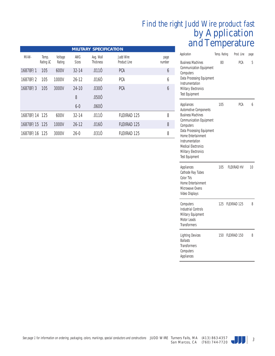### by Application and Temperature *Find the right Judd Wire product fast*

| Application                                                                                                                                                                                                                                                                              | Temp. Rating | Prod. Line  | page |
|------------------------------------------------------------------------------------------------------------------------------------------------------------------------------------------------------------------------------------------------------------------------------------------|--------------|-------------|------|
| <b>Business Machines</b><br><b>Communication Equipment</b><br>Computers<br>Data Processing Equipment<br>Instrumentation<br><b>Military Electronics</b><br><b>Test Equipment</b>                                                                                                          | 80           | PCA         | 5    |
| Appliances<br><b>Automotive Components</b><br><b>Business Machines</b><br><b>Communication Equipment</b><br>Computers<br>Data Processing Equipment<br><b>Home Entertainment</b><br>Instrumentation<br><b>Medical Electronics</b><br><b>Military Electronics</b><br><b>Test Equipment</b> | 105          | PCA         | 6    |
| Appliances<br>Cathode Ray Tubes<br>Color TVs<br>Home Entertainment<br>Microwave Ovens<br><b>Video Displays</b>                                                                                                                                                                           | 105          | FI FXRAD HV | 10   |
| Computers<br><b>Industrial Controls</b><br><b>Military Equipment</b><br><b>Motor Leads</b><br><b>Transformers</b>                                                                                                                                                                        | 125          | FLEXRAD 125 | 8    |
| <b>Lighting Devices</b><br><b>Ballasts</b><br><b>Transformers</b><br>Computers<br>Appliances                                                                                                                                                                                             | 150          | FLEXRAD 150 | 8    |

|               |                    |                   |                     | <b>MILITARY SPECIFICATION</b> |                           |                |
|---------------|--------------------|-------------------|---------------------|-------------------------------|---------------------------|----------------|
| Mil-W-        | Temp.<br>Rating ûC | Voltage<br>Rating | AWG<br><b>Sizes</b> | Avg. Wall<br><b>Thickness</b> | Judd Wire<br>Product Line | page<br>number |
| 16878F/1      | 105                | 600V              | $32 - 14$           | .0110                         | <b>PCA</b>                | 6              |
| 16878F/2      | 105                | 1000V             | $26-12$             | .0160                         | <b>PCA</b>                | 6              |
| 16878F/3      | 105                | 3000V             | $24-10$             | .0300                         | <b>PCA</b>                | 6              |
|               |                    |                   | 8                   | .0500                         |                           |                |
|               |                    |                   | $6-0$               | .0600                         |                           |                |
| 16878F/14 125 |                    | 600V              | $32 - 14$           | .0110                         | <b>FLEXRAD 125</b>        | 8              |
| 16878F/15 125 |                    | 1000V             | $26 - 12$           | .0160                         | <b>FLEXRAD 125</b>        | 8              |
| 16878F/16 125 |                    | 3000V             | $26-0$              | .0310                         | <b>FLEXRAD 125</b>        | 8              |

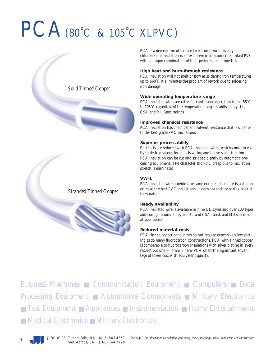## PCA(80°C & 105°C XLPVC)





PCA is a diverse line of tri-rated electronic wire. Its polychloroalkene insulation is an exclusive irradiation cross-linked PVC with a unique combination of high-performance properties.

#### **High heat and burn-through resistance**

PCA insulation will not melt or flow at soldering iron temperatures up to 660˚F. It eliminates the problem of rework due to soldering iron damage.

#### **Wide operating temperature range**

PCA insulated wires are rated for continuous operation from –55˚C to 105˚C regardless of the temperature range established by UL, CSA and Mil Spec ratings.

#### **Improved chemical resistance**

PCA insulation has chemical and solvent resistance that is superior to the best grade PVC insulations.

#### **Superior processability**

End costs are reduced with PCA insulated wires, which conform easily to desired shapes for chassis wiring and harness construction. PCA insulation can be cut and stripped cleanly by automatic processing equipment. The characteristic PVC creep due to insulation stretch is eliminated.

#### **VW-1**

PCA insulated wire provides the same excellent flame-resistant properties as the best PVC insulations. It does not melt or shrink back at termination.

#### **Ready availability**

PCA insulated wire is available in nine UL styles and over 100 types and configurations. They are UL and CSA rated, and Mil specified at your option.

#### **Reduced material costs**

PCA tinned copper conductors do not require expensive silver plating as do many fluorocarbon constructions. PCA with tinned copper is comparable to fluorocarbon insulations with silver plating in every respect but one — price. There, PCA offers the significant advantage of lower cost with equivalent quality.

Business Machines ■ Communication Equipment ■ Computers ■ Data Processing Equipment ■ Automotive Components ■ Military Electronics ■ Test Equipment ■ Appliances ■ Instrumentation ■ Home Entertainment ■ Medical Electronics ■ Military Electronics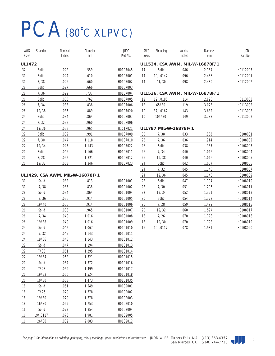## PCA(80°C XLPVC)

| AWG           | Stranding | Nominal | Diameter | JUDD     |
|---------------|-----------|---------|----------|----------|
| <b>Sizes</b>  |           | Inches  | mm       | Part No. |
| <b>UL1472</b> |           |         |          |          |
| 32            | Solid     | .022    | .559     | H0107045 |
| 30            | Solid     | .024    | .610     | H0107001 |
| 30            | 7/38      | .026    | .660     | H0107002 |
| 28            | Solid     | .027    | .666     | H0107003 |
| 28            | 7/36      | .029    | .737     | H0107004 |
| 26            | Solid     | .030    | .762     | H0107005 |
| 26            | 7/34      | .033    | .838     | H0107006 |
| 26            | 19/38     | .035    | .889     | H0107020 |
| 24            | Solid     | .034    | .864     | H0107007 |
| 24            | 7/32      | .038    | .960     | H0107006 |
| 24            | 19/36     | .038    | .965     | H1017021 |
| 22            | Solid     | .039    | .991     | H0107009 |
| 22            | 7/30      | .044    | 1.118    | H0107010 |
| 22            | 19/34     | .045    | 1 1 4 3  | H0107022 |
| 20            | Solid     | .046    | 1.166    | H0107011 |
| 20            | 7/28      | .052    | 1 321    | H0107012 |
| 20            | 19/32     | .053    | 1.346    | H0107023 |
|               |           |         |          |          |

#### AWG Stranding Nominal Diameter JUDD Sizes **Inches** mm Part No.

#### **UL1534, CSA AWM, MIL-W-16878F/1**

| Solid    | 086  | 2.184 | H0112003 |
|----------|------|-------|----------|
| 19/.0147 | .096 | 2.438 | H0112001 |
| 41/30    | 098  | 2.489 | H0112002 |

#### **UL1536, CSA AWM, MIL-W-16878F/1**

| 12        | 19/.0185 | .114 | 2.896 | H0113003 |
|-----------|----------|------|-------|----------|
| 12        | 65/30    | .119 | 3.023 | H0113002 |
| 10        | 37/0167  | .143 | 3.632 | H0113008 |
| <u>10</u> | 105/30   | 149  | 3.783 | H0113007 |

#### **UL1787 MIL-W-16878F/1**

| 30 | 7/38     | .033 | .838    | H0108001 |
|----|----------|------|---------|----------|
| 28 | 7/36     | .036 | .914    | H0108002 |
| 26 | Solid    | .038 | .965    | H0108003 |
| 26 | 7/34     | .040 | 1.016   | H0108004 |
| 26 | 19/38    | .040 | 1.016   | H0108005 |
| 24 | Solid    | .042 | 1.067   | H0108006 |
| 24 | 7/32     | .045 | 1.143   | H0108007 |
| 24 | 19/36    | .045 | 1.143   | H0108009 |
| 22 | Solid    | .047 | 1.194   | H0108010 |
| 22 | 7/30     | .051 | 1.295   | H0108011 |
| 22 | 19/34    | .052 | 1.321   | H0108013 |
| 20 | Solid    | .054 | 1.372   | H0108014 |
| 20 | 7/28     | .059 | 1.499   | H0108015 |
| 20 | 19/32    | .060 | 1 5 2 4 | H0108017 |
| 18 | 7/26     | .070 | 1.778   | H0108018 |
| 18 | 19/30    | .070 | 1 778   | H0108019 |
| 16 | 19/.0117 | .078 | 1.981   | H0108020 |

|  |  | UL1429, CSA AWM, MIL-W-16878F/1 |  |
|--|--|---------------------------------|--|
|  |  |                                 |  |

| 30 | Solid    | .032 | .813  | H0101001 |
|----|----------|------|-------|----------|
| 30 | 7/38     | .033 | .838  | H0101002 |
| 28 | Solid    | .034 | .864  | H0101004 |
| 28 | 7/36     | .036 | .914  | H0101005 |
| 28 | 19/40    | .036 | .914  | H0101006 |
| 26 | Solid    | .038 | .965  | H0101007 |
| 26 | 7/34     | .040 | 1.016 | H0101008 |
| 26 | 19/38    | .040 | 1.016 | H0101009 |
| 24 | Solid    | .042 | 1.067 | H0101010 |
| 24 | 7/32     | .045 | 1.143 | H0101011 |
| 24 | 19/36    | .045 | 1.143 | H0101012 |
| 22 | Solid    | .047 | 1.194 | H0101013 |
| 22 | 7/30     | .051 | 1.295 | H0101014 |
| 22 | 19/34    | .052 | 1.321 | H0101015 |
| 20 | Solid    | .054 | 1.372 | H0101016 |
| 20 | 7/28     | .059 | 1.499 | H0101017 |
| 20 | 19/32    | .060 | 1.524 | H0101018 |
| 20 | 10/30    | .058 | 1.473 | H0101035 |
| 18 | Solid    | .061 | 1.549 | H0102001 |
| 18 | 7/26     | .070 | 1.778 | H0102002 |
| 18 | 19/30    | .070 | 1.778 | H0102003 |
| 18 | 16/30    | .069 | 1.753 | H0102010 |
| 16 | Solid    | .073 | 1.854 | H0102004 |
| 16 | 19/.0117 | .078 | 1.981 | H0102005 |
| 16 | 26/30    | .082 | 2.083 | H0102012 |
|    |          |      |       |          |

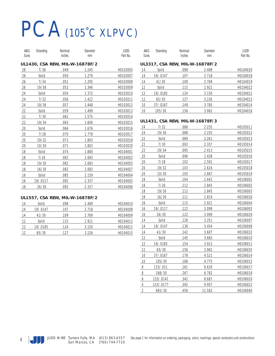## PCA(105˚C XLPVC)

| AWG          | Stranding | Nominal                         | Diameter | JUDD     |
|--------------|-----------|---------------------------------|----------|----------|
| <b>Sizes</b> |           | Inches                          | mm       | Part No. |
|              |           | UL1430, CSA REW, MIL-W-16878F/2 |          |          |
| 28           | 7/36      | .049                            | 1.245    | H0103005 |
| 26           | Solid     | .050                            | 1.270    | H0103007 |
| 26           | 7/34      | .051                            | 1.295    | H0103008 |
| 26           | 19/38     | .053                            | 1.346    | H0103009 |
| 24           | Solid     | .054                            | 1.372    | H0103010 |
| 24           | 7/32      | .056                            | 1.422    | H0103011 |
| 24           | 19/36     | .057                            | 1.448    | H0103012 |
| 22           | Solid     | .059                            | 1.499    | H0103013 |
| 22           | 7/30      | .062                            | 1.575    | H0103014 |
| 22           | 19/34     | .063                            | 1.600    | H0103015 |
| 20           | Solid     | .066                            | 1.676    | H0103016 |
| 20           | 7/28      | .070                            | 1.778    | H0103017 |
| 20           | 19/32     | .071                            | 1.803    | H0103018 |
| 20           | 10/30     | .071                            | 1.803    | H0103020 |
| 18           | Solid     | .074                            | 1.880    | H0104001 |
| 18           | 7/26      | .082                            | 2.083    | H0104002 |
| 18           | 19/30     | .082                            | 2.083    | H0104003 |
| 18           | 16/30     | .082                            | 2.083    | H0104007 |
| 16           | Solid     | .085                            | 2.159    | H0104004 |
| 16           | 19/.0117  | .092                            | 2.337    | H0104005 |
| 16           | 26/30     | .092                            | 2.337    | H0104006 |

#### **UL1557, CSA REW, MIL-W-16878F/2**

| 14 | Solid    | .098 | 2.489 | H0104010 |
|----|----------|------|-------|----------|
| 14 | 19/.0147 | .107 | 2.718 | H0104008 |
| 14 | 41/30    | .109 | 2.769 | H0104009 |
| 12 | Solid    | .115 | 2.921 | H0104012 |
| 12 | 19/.0185 | .124 | 3.150 | H0104011 |
| 12 | 65/30    | .127 | 3.226 | H0104015 |

| AWG   | Stranding | Nominal | Diameter | JUDD     |
|-------|-----------|---------|----------|----------|
| Sizes |           | Inches  | mm       | Part No. |

#### **UL3317, CSA REW, MIL-W-16878F/2**

| 14 | Solid    | .098 | 2.489 | H0104020 |
|----|----------|------|-------|----------|
| 14 | 19/.0147 | .107 | 2.718 | H0104018 |
| 14 | 41/30    | .109 | 2.769 | H0104019 |
| 12 | Solid    | .115 | 2.921 | H0104022 |
| 12 | 19/.0185 | .124 | 3.150 | H0104021 |
| 12 | 65/30    | .127 | 3.226 | H0104023 |
| 10 | 37/.0167 | .149 | 3.785 | H0104014 |
| 10 | 105/30   | .156 | 3.962 | H0104016 |
|    |          |      |       |          |

#### **UL1431, CSA REW, MIL-W-16878F/3**

| 24             | 7/32      | .088 | 2.235  | H0105011 |
|----------------|-----------|------|--------|----------|
| 24             | 19/36     | .088 | 2.235  |          |
|                |           |      |        | H0105012 |
| 22             | Solid     | .089 | 2.261  | H0105013 |
| 22             | 7/30      | .092 | 2.337  | H0105014 |
| 22             | 19/34     | .095 | 2.413  | H0105015 |
| 20             | Solid     | .096 | 2.438  | H0105016 |
| 20             | 7/28      | .102 | 2.591  | H0105017 |
| 20             | 19/32     | .103 | 2.616  | H0105018 |
| 20             | 10/30     | .105 | 2.667  | H0105019 |
| 18             | Solid     | .104 | 2.642  | H0106001 |
| 18             | 7/26      | .112 | 2.845  | H0106002 |
| 18             | 19/30     | .112 | 2.845  | H0106003 |
| 18             | 16/30     | .111 | 2.819  | H0106026 |
| 16             | Solid     | .115 | 2.921  | H0106004 |
| 16             | 19/.0117  | .122 | 3.099  | H0106005 |
| 16             | 26/30     | .122 | 3.099  | H0106029 |
| 14             | Solid     | .128 | 3.251  | H0106007 |
| 14             | 19/.0147  | .136 | 3.454  | H0106008 |
| 14             | 41/30     | .142 | 3.607  | H0106032 |
| 12             | Solid     | .145 | 3.683  | H0106010 |
| 12             | 19/.0185  | .154 | 3.912  | H0106011 |
| 12             | 65/30     | .156 | 3.962  | H0106035 |
| 10             | 37/.0167  | .178 | 4.521  | H0106014 |
| 10             | 105/30    | .188 | 4.775  | H0106015 |
| 8              | 133/.011  | .261 | 6.629  | H0106017 |
| 8              | 168/30    | .267 | 6.782  | H0106018 |
| 6              | 133/.0141 | .342 | 8.687  | H0106020 |
| 4              | 133/.0177 | .392 | 9.957  | H0106021 |
| $\overline{2}$ | 665/30    | .456 | 11.582 | H0106040 |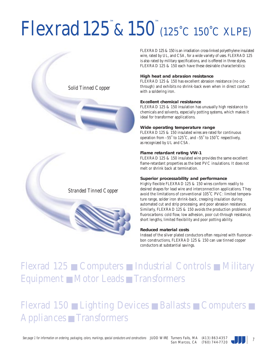## Flexrad 125<sup>™</sup>& 150<sup>™</sup> (125°C 150°C XLPE)



FLEXRAD 125 & 150 is an irradiation cross-linked polyethylene insulated wire, rated by UL, and CSA, for a wide variety of uses. FLEXRAD 125 is also rated by military specifications, and is offered in three styles. FLEXRAD 125 & 150 each have these desirable characteristics:

#### **High heat and abrasion resistance**

FLEXRAD 125 & 150 has excellent abrasion resistance (no cutthrough) and exhibits no shrink-back even when in direct contact with a soldering iron.

#### **Excellent chemical resistance**

FLEXRAD 125 & 150 insulation has unusually high resistance to chemicals and solvents, especially potting systems, which makes it ideal for transformer applications.

#### **Wide operating temperature range**

FLEXRAD 125 & 150 insulated wires are rated for continuous operation from –55˚ to 125˚C, and –55˚ to 150˚C respectively, as recognized by UL and CSA.

#### **Flame retardant rating VW-1**

FLEXRAD 125 & 150 insulated wire provides the same excellent flame-retardant properties as the best PVC insulations. It does not melt or shrink back at termination.

#### **Superior processability and performance**

Highly flexible FLEXRAD 125 & 150 wires conform readily to desired shapes for lead wire and interconnection applications. They avoid the limitations of conventional 105˚C PVC: limited temperature range, solder iron shrink-back, creeping insulation during automated cut and strip processing, and poor abrasion resistance. Similarly, FLEXRAD 125 & 150 avoids the production problems of fluorocarbons: cold flow, low adhesion, poor cut-through resistance, short lengths, limited flexibility and poor potting ability.

#### **Reduced material costs**

Instead of the silver plated conductors often required with fluorocarbon constructions, FLEXRAD 125 & 150 can use tinned copper conductors at substantial savings.

### Flexrad 125 ■ Computers ■ Industrial Controls ■ Military Equipment ■ Motor Leads ■ Transformers

### Flexrad 150 ■ Lighting Devices ■ Ballasts ■ Computers ■ Appliances ■ Transformers

See page 1 for information on ordering, packaging, colors, markings, special conductors and constructions JUDD WIRE Turners Falls, MA  $(413)$  863-4357  $\blacksquare$ 

San Marcos, CA (760) 744-7720

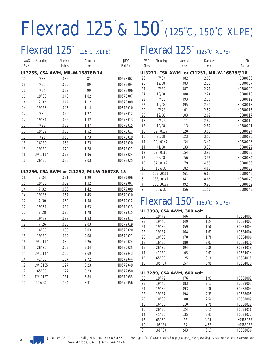## Flexrad 125™ &150™ (125˚C, 150˚C XLPE)

### Flexrad 125<sup>™</sup> (125°C XLPE)

| AWG<br>Sizes | Stranding | Nominal<br>Inches | Diameter                               | JUDD<br>Part No. |
|--------------|-----------|-------------------|----------------------------------------|------------------|
|              |           |                   | mm<br>UL3265, CSA AWM, MIL-W-16878F/14 |                  |

| 30 | 7/38     | .032 | .81  | H0578002 |
|----|----------|------|------|----------|
| 28 | 7/36     | .035 | .89  | H0578004 |
| 26 | 7/34     | .039 | .99  | H0578006 |
| 26 | 19/38    | .040 | 1.02 | H0578007 |
| 24 | 7/32     | .044 | 1.12 | H0578009 |
| 24 | 19/36    | .045 | 1.14 | H0578010 |
| 22 | 7/30     | .050 | 1.27 | H0578012 |
| 22 | 19/34    | .052 | 1.32 | H0578013 |
| 20 | 7/28     | .058 | 1.47 | H0578015 |
| 20 | 19/32    | .060 | 1.52 | H0578017 |
| 18 | 7/26     | .068 | 1.73 | H0578019 |
| 18 | 16/30    | .068 | 1.73 | H0578020 |
| 18 | 19/30    | .070 | 1.78 | H0578021 |
| 16 | 19/.0117 | .077 | 1.96 | H0578024 |
| 16 | 26/30    | .080 | 2.03 | H0578025 |
|    |          |      |      |          |

#### **UL3266, CSA AWM or CL1252, MIL-W-16878F/15**

| 26 | 7/34     | .051 | 1.29 | H0579006 |
|----|----------|------|------|----------|
| 26 | 19/38    | .052 | 1.32 | H0579007 |
| 24 | 7/32     | .056 | 1.42 | H0579009 |
| 24 | 19/36    | .057 | 1.45 | H0579010 |
| 22 | 7/30     | .062 | 1.58 | H0579012 |
| 22 | 19/34    | .064 | 1.63 | H0579013 |
| 20 | 7/28     | .070 | 1.78 | H0579015 |
| 20 | 19/32    | .072 | 1.83 | H0579017 |
| 18 | 7/26     | .080 | 2.03 | H0579019 |
| 18 | 16/30    | .080 | 2.03 | H0579020 |
| 18 | 19/30    | .082 | 2.08 | H0579021 |
| 16 | 19/.0117 | .089 | 2.26 | H0579024 |
| 16 | 26/30    | .092 | 2.34 | H0579025 |
| 14 | 19/.0147 | .106 | 2.69 | H0579043 |
| 14 | 41/30    | .107 | 2.72 | H0579044 |
| 12 | 19/.0185 | .127 | 3.23 | H0579049 |
| 12 | 65/30    | .127 | 3.23 | H0579050 |
| 10 | 37/.0167 | .151 | 3.84 | H0579055 |
| 10 | 105/30   | .154 | 3.91 | H0579056 |

### (125°C XLPE)  $\qquad \qquad$  Flexrad 125<sup>™</sup> (125°C XLPE)

| AWG          | Stranding | Nominal | Diameter                                   | JUDD     |
|--------------|-----------|---------|--------------------------------------------|----------|
| <b>Sizes</b> |           | Inches  | mm                                         | Part No. |
|              |           |         | UL3271, CSA AWM or CL1251, MIL-W-16878F/16 |          |

| 26             | 7/34      | .082 | 2.08  | H0580006 |
|----------------|-----------|------|-------|----------|
| 26             | 19/38     | .083 | 2.11  | H0580007 |
| 24             | 7/32      | .087 | 2.21  | H0580009 |
| 24             | 19/36     | .088 | 2.24  | H0580010 |
| 22             | 7/30      | .093 | 2.36  | H0580012 |
| 22             | 19/34     | .095 | 2.41  | H0580013 |
| 20             | 7/28      | .101 | 2.57  | H0580015 |
| 20             | 19/32     | .103 | 2.62  | H0580017 |
| 18             | 7/26      | .111 | 2.82  | H0580019 |
| 18             | 19/30     | .113 | 2.87  | H0580021 |
| 16             | 19/.0117  | .120 | 3.05  | H0580024 |
| 16             | 26/30     | .123 | 3.12  | H0580025 |
| 14             | 19/.0147  | .134 | 3.40  | H0580028 |
| 14             | 41/30     | .133 | 3.38  | H0580029 |
| 12             | 19/.0185  | .154 | 3.91  | H0580033 |
| 12             | 65/30     | .156 | 3.96  | H0580034 |
| 10             | 37/.0167  | .179 | 4.55  | H0580036 |
| 10             | 105/30    | .182 | 4.62  | H0580038 |
| 8              | 133/.0111 | .261 | 6.63  | H0580048 |
| 6              | 133/.0141 | .341 | 8.66  | H0580040 |
| $\sqrt{4}$     | 133/.0177 | .392 | 9.96  | H0580052 |
| $\overline{2}$ | 665/30    | .456 | 11.56 | H0580043 |

### $Flexrad$   $150^{\circ\circ}$  (150°C XLPE)

#### **UL 3398, CSA AWM, 300 volt**

| 30 | 19/42  | .046 | 1.17 | H0584001 |
|----|--------|------|------|----------|
| 28 | 19/40  | .049 | 1.24 | H0584002 |
| 24 | 19/36  | .059 | 1.50 | H0584003 |
| 22 | 19/34  | .064 | 1.63 | H0584004 |
| 20 | 10/30  | .070 | 1.78 | H0584006 |
| 18 | 16/30  | .080 | 2.03 | H0584010 |
| 16 | 26/30  | .094 | 2.39 | H0584013 |
| 14 | 41/30  | .105 | 2.67 | H0584014 |
| 12 | 65/30  | .125 | 3.18 | H0584015 |
| 10 | 105/30 | .157 | 3.99 | H0584020 |

#### **UL 3289, CSA AWM, 600 volt**

| 30 | 19/42  | .076 | 1.93 | H0588002 |
|----|--------|------|------|----------|
| 28 | 19/40  | .083 | 2.11 | H0588003 |
| 24 | 19/36  | .093 | 2.36 | H0588004 |
| 22 | 19/34  | .094 | 2.39 | H0588005 |
| 20 | 10/30  | .100 | 2.54 | H0588009 |
| 18 | 16/30  | .110 | 2.79 | H0588012 |
| 16 | 26/30  | .124 | 3.15 | H0588016 |
| 14 | 41/30  | .135 | 3.43 | H0588022 |
| 12 | 65/30  | .155 | 3.94 | H0588026 |
| 10 | 105/30 | .184 | 4.67 | H0588032 |
| 8  | 168/30 | .243 | 6.17 | H0588036 |



8 See page 1 for information on ordering, packaging, colors, markings, special conductors and constructions and constructions  $\mathcal{S}$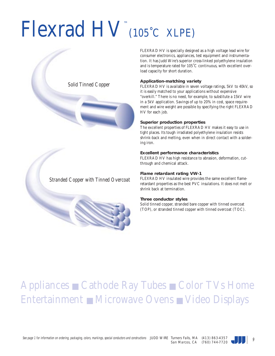# Flexrad HV™ (105˚C XLPE)



FLEXRAD HV is specially designed as a high voltage lead wire for consumer electronics, appliances, test equipment and instrumentation. It has Judd Wire's superior cross-linked polyethylene insulation and is temperature rated for 105˚C continuous, with excellent overload capacity for short duration.

#### **Application-matching variety**

FLEXRAD HV is available in seven voltage ratings, 5kV to 40kV, so it is easily matched to your applications without expensive "overkill." There is no need, for example, to substitute a 15kV wire in a 5kV application. Savings of up to 20% in cost, space requirement and wire weight are possible by specifying the right FLEXRAD HV for each job.

#### **Superior production properties**

The excellent properties of FLEXRAD HV makes it easy to use in tight places. Its tough irradiated polyethylene insulation resists shrink-back and melting, even when in direct contact with a soldering iron.

#### **Excellent performance characteristics**

FLEXRAD HV has high resistance to abrasion, deformation, cutthrough and chemical attack.

#### **Flame retardant rating VW-1**

FLEXRAD HV insulated wire provides the same excellent flameretardant properties as the best PVC insulations. It does not melt or shrink back at termination.

#### **Three conductor styles**

Solid tinned copper, stranded bare copper with tinned overcoat (TOP), or stranded tinned copper with tinned overcoat (TOC).

### Appliances ■ Cathode Ray Tubes ■ Color TVs Home Entertainment ■ Microwave Ovens ■ Video Displays



*Stranded Copper with Tinned Overcoat*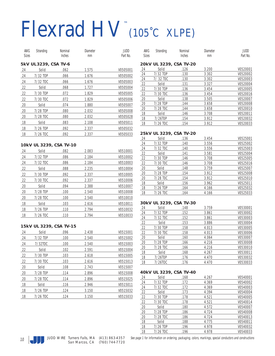# Flexrad HV™ (105˚C XLPE)

| AWG    | Stranding | Nominal                 | Diameter | <b>JUDD</b> | AWG       | Stranding         | Nominal                 | Diameter       | JUDD                 |
|--------|-----------|-------------------------|----------|-------------|-----------|-------------------|-------------------------|----------------|----------------------|
| Sizes  |           | Inches                  | mm       | Part No.    | Sizes     |                   | Inches                  | mm             | Part No.             |
|        |           | 5kV UL 3239, CSA TV-6   |          |             |           |                   | 20kV UL 3239, CSA TV-20 |                |                      |
| 24     | Solid     | .062                    | 1.575    | V0505001    | 24        | Solid             | .126                    | 3.200          | V0520001             |
| 24     | 7/32 TOP  | .066                    | 1.676    | V0505002    | 24        | 7/32 TOP          | .130                    | 3.302          | V0520002             |
| 24     | 7/32 TOC  | .066                    | 1.676    | V0505003    | 24        | 7/32 TOC          | .130                    | 3.302          | V0520003             |
| 22     | Solid     | .068                    | 1.727    | V0505004    | 22        | Solid             | .131                    | 3.327          | V0520004             |
|        |           |                         |          |             | 22        | 7/30 TOP          | .136                    | 3.454          | V0520005             |
| 22     | 7/30 TOP  | .072                    | 1.829    | V0505005    | 22        | 7/30 TOC          | .136                    | 3.454          | V0520016             |
| 22     | 7/30 TOC  | .072                    | 1.829    | V0505006    | 20        | Solid             | .138                    | 3.505          | V0520007             |
| 20     | Solid     | .074                    | 1.880    | V0505007    | 20        | 7/28 TOP          | .144                    | 3.658          | V0520008             |
| $20\,$ | 7/28 TOP  | .080                    | 2.032    | V0505008    | 20<br>18  | 7/28 TOC<br>Solid | .144<br>.146            | 3.658<br>3.708 | V0520010<br>V0520011 |
| $20\,$ | 7/28 TOC  | .080                    | 2.032    | V0505028    | 18        | 7/26T0P           | .154                    | 3.912          | V0520032             |
| 18     | Solid     | .083                    | 2.108    | V0505011    | 18        | 7/26 TOC          | .154                    | 3.912          | V0520033             |
| 18     | 7/26 TOP  | .092                    | 2.337    | V0505032    |           |                   |                         |                |                      |
| 18     | 7/26 TOC  | .092                    | 2.337    | V0505033    |           |                   | 25kV UL 3239, CSA TV-20 |                |                      |
|        |           |                         |          |             | 24        | Solid             | .136                    | 3.454          | V0525001             |
|        |           |                         |          |             | 24        | 7/32 TOP          | .140                    | 3.556          | V0525002             |
|        |           | 10kV UL 3239, CSA TV-10 |          |             | 24        | 7/32 TOC          | .140                    | 3.556          | V0525003             |
| 24     | Solid     | .082                    | 2.083    | V0510001    | 22        | Solid             | .141                    | 3.581          | V0525004             |
| 24     | 7/32 TOP  | .086                    | 2.184    | V0510002    | 22        | 7/30 TOP          | .146                    | 3.708          | V0525005             |
| 24     | 7/32 TOC  | .086                    | 2.184    | V0510003    | 22        | 7/30 TOC          | .146                    | 3.708          | V0525016             |
| 22     | Solid     | .088                    | 2.235    | V0510004    | $20\,$    | Solid             | .148                    | 3.759          | V0525007             |
| 22     | 7/30 TOP  | .092                    | 2.337    | V0510005    | 20        | 7/28 TOP          | .154                    | 3.912          | V0525008             |
| 22     | 7/30 TOC  | .092                    | 2.337    | V0510006    | 20        | 7/28 TOC          | .154                    | 3.912          | V0525010             |
| $20\,$ | Solid     | .094                    | 2.388    | V0510007    | <u>18</u> | Solid             | .156                    | 3.962          | V0525011             |
|        |           | .100                    |          |             | 18        | 7/26 TOP          | .164                    | 4.166          | V0525032             |
| $20\,$ | 7/28 TOP  |                         | 2.540    | V0510008    | 18        | 7/26 TOC          | .164                    | 4.166          | V0525033             |
| $20\,$ | 7/28 TOC  | .100                    | 2.540    | V0510010    |           |                   |                         |                |                      |
| 18     | Solid     | .103                    | 2.616    | V0510011    |           |                   | 30kV UL 3239, CSA TV-30 | 3.759          |                      |
| 18     | 7/26 TOP  | .110                    | 2.794    | V0510032    | 24<br>24  | Solid<br>7/32 TOP | .148<br>.152            | 3.861          | V0530001<br>V0530002 |
| 18     | 7/26 TOC  | .110                    | 2.794    | V0510033    | 24        | 7/32 TOC          | .152                    | 3.861          | V0530003             |
|        |           |                         |          |             | 22        | Solid             | .153                    | 3.886          | V0530004             |
|        |           | 15kV UL 3239, CSA TV-15 |          |             | 22        | 7/30 TOP          | .158                    | 4.013          | V0530005             |
| 24     | Solid     | .096                    | 2.438    | V0515001    | 22        | 7/30 TOC          | .158                    | 4.013          | V0530006             |
| 24     | 7/32 TOP  | .100                    | 2.540    | V0515002    | $20\,$    | Solid             | .160                    | 4.064          | V0530007             |
| 24     | 7/32TOC   | .100                    | 2.540    | V0515003    | 20        | 7/28 TOP          | .166                    | 4.216          | V0530008             |
| 22     |           | .102                    | 2.591    | V0515004    | 20        | 7/28 TOC          | .166                    | 4.216          | V0530010             |
|        | Solid     |                         |          |             | 18        | Solid             | .168                    | 4.267          | V0530011             |
| 22     | 7/30 TOP  | .103                    | 2.618    | V0515005    | 18        | 7/26T0P           | .176                    | 4.470          | V0530032             |
| 22     | 7/30 TOC  | .103                    | 2.616    | V0515013    | 18        | 7/26TOC           | .176                    | 4.470          | V0530033             |
| $20\,$ | Solid     | .108                    | 2.743    | V0515007    |           |                   |                         |                |                      |
| $20\,$ | 7/28 TOP  | .114                    | 2.896    | V0515008    |           |                   | 40kV UL 3239, CSA TV-40 |                |                      |
| 20     | 7/28 TOC  | .114                    | 2.896    | V0515025    | 24        | Solid             | .168                    | 4.267          | V0540001             |

| 24 | Solid    | .168 | 4.267 | V0540001 |
|----|----------|------|-------|----------|
| 24 | 7/32 TOP | .172 | 4.369 | V0540002 |
| 24 | 7/32 TOC | .172 | 4.369 | V0540003 |
| 22 | Solid    | .173 | 4.394 | V0540004 |
| 22 | 7/30 TOP | .178 | 4.521 | V0540005 |
| 22 | 7/30 TOC | .178 | 4.521 | V0540014 |
| 20 | Solid    | .180 | 4.572 | V0540007 |
| 20 | 7/28 TOP | .186 | 4.724 | V0540008 |
| 20 | 7/28 TOC | .186 | 4.724 | V0540013 |
| 18 | Solid    | .188 | 4.775 | V0540011 |
| 18 | 7/26 TOP | .196 | 4.978 | V0540032 |
| 18 | 7/26 TOC | .196 | 4.978 | V0540033 |



18 Solid .116 2.946 V0515011 18 7/26 T0P .124 3.150 V0515032 18 7/26 TOC .124 3.150 V0515033

See page 1 for information on ordering, packaging, colors, markings, special conductors and constructions in See Marson CA (740) 744 7720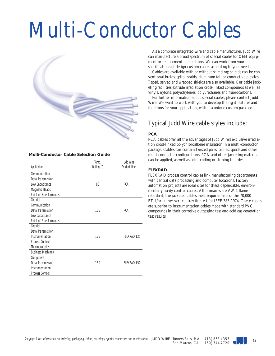# Multi-Conductor Cables



#### **Multi-Conductor Cable Selection Guide**

|                                | Temp.     | Judd Wire          |
|--------------------------------|-----------|--------------------|
| Application                    | Rating °C | Product Line       |
| Communication                  |           |                    |
| Data Transmission              |           |                    |
| Low Capacitance                | 80        | <b>PCA</b>         |
| <b>Magnetic Heads</b>          |           |                    |
| <b>Point of Sale Terminals</b> |           |                    |
| Coaxial                        |           |                    |
| Communication                  |           |                    |
| Data Transmission              | 105       | <b>PCA</b>         |
| Low Capacitance                |           |                    |
| <b>Point of Sale Terminals</b> |           |                    |
| Coaxial                        |           |                    |
| Data Transmission              |           |                    |
| Instrumentation                | 125       | <b>FLEXRAD 125</b> |
| <b>Process Control</b>         |           |                    |
| Thermocouples                  |           |                    |
| <b>Business Machines</b>       |           |                    |
| Computers                      |           |                    |
| Data Transmission              | 150       | <b>FLEXRAD 150</b> |
| Instrumentation                |           |                    |
| <b>Process Control</b>         |           |                    |

As a complete integrated wire and cable manufacturer, Judd Wire can manufacture a broad spectrum of special cables for OEM equipment or replacement applications. We can work from your specifications or design custom cables according to your needs.

Cables are available with or without shielding; shields can be conventional braids, spiral braids, aluminum foil or conductive plastics. Taped, served and wrapped shields are also available. Our cable jacketing facilities extrude irradiation cross-linked compounds as well as vinyls, nylons, polyethylenes, polyurethanes and fluorocarbons.

For further information about special cables, please contact Judd Wire. We want to work with you to develop the right features and functions for your application, within a unique custom package.

### Typical Judd Wire cable styles include:

#### **PCA**

PCA cables offer all the advantages of Judd Wire's exclusive irradiation cross-linked polychloroalkene insulation in a multi-conductor package. Cables can contain twisted pairs, triples, quads and other multi-conductor configurations. PCA and other jacketing materials can be applied, as well as color-coding or striping to order.

#### **FLEXRAD**

FLEXRAD process control cables link manufacturing departments with central data processing and computer locations. Factory automation projects are ideal sites for these dependable, environmentally hardy control cables. All primaries are VW-1 flame retardant; the jacketed cables meet requirements of the 70,000 BTU/hr burner vertical tray fire test for IEEE 383-1974. These cables are superior to instrumentation cables made with standard PVC compounds in their corrosive outgassing test and acid gas generation test results.

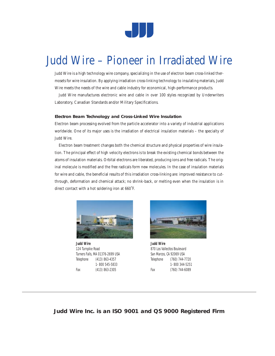

### Judd Wire – Pioneer in Irradiated Wire

Judd Wire is a high technology wire company, specializing in the use of electron beam cross-linked thermosets for wire insulation. By applying irradiation cross-linking technology to insulating materials, Judd Wire meets the needs of the wire and cable industry for economical, high-performance products.

Judd Wire manufactures electronic wire and cable in over 100 styles recognized by Underwriters Laboratory, Canadian Standards and/or Military Specifications.

#### **Electron Beam Technology and Cross-Linked Wire Insulation**

Electron beam processing evolved from the particle accelerator into a variety of industrial applications worldwide. One of its major uses is the irradiation of electrical insulation materials – the specialty of Judd Wire.

Electron beam treatment changes both the chemical structure and physical properties of wire insulation. The principal effect of high velocity electrons is to break the existing chemical bonds between the atoms of insulation materials. Orbital electrons are liberated, producing ions and free radicals. The original molecule is modified and the free radicals form new molecules. In the case of insulation materials for wire and cable, the beneficial results of this irradiation cross-linking are: improved resistance to cutthrough, deformation and chemical attack; no shrink-back, or melting even when the insulation is in direct contact with a hot soldering iron at 660˚F.



**Judd Wire** 124 Turnpike Road Turners Falls, MA 01376-2699 USA Telephone (413) 863-4357 1- 800 545-5833 Fax (413) 863-2305



**Judd Wire** 870 Los Vallecitos Boulevard San Marcos, CA 92069 USA Telephone (760) 744-7720 1- 800 344-5251 Fax (760) 744-6089

**Judd Wire Inc. is an ISO 9001 and QS 9000 Registered Firm**